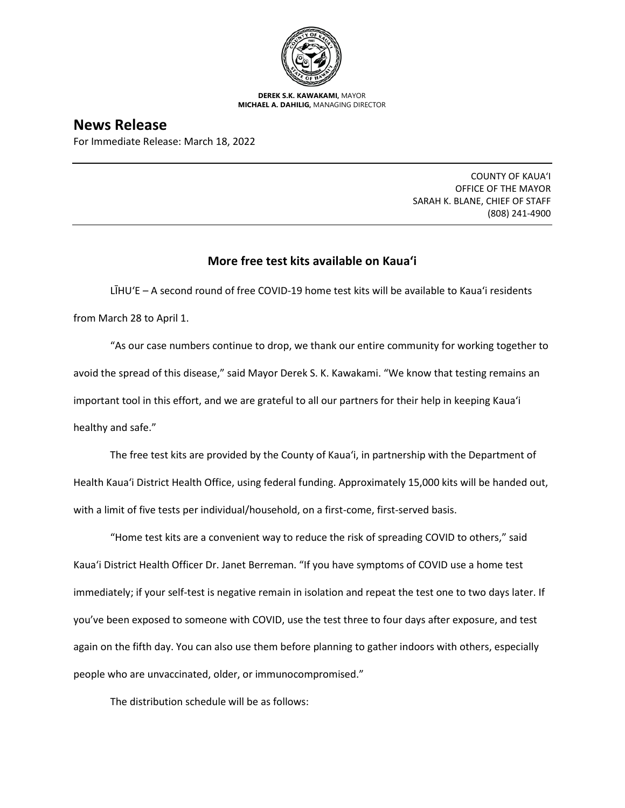

**DEREK S.K. KAWAKAMI,** MAYOR **MICHAEL A. DAHILIG,** MANAGING DIRECTOR

# **News Release**

For Immediate Release: March 18, 2022

COUNTY OF KAUA'I OFFICE OF THE MAYOR SARAH K. BLANE, CHIEF OF STAFF (808) 241-4900

# **More free test kits available on Kaua'i**

LĪHUʻE – A second round of free COVID-19 home test kits will be available to Kaua'i residents from March 28 to April 1.

"As our case numbers continue to drop, we thank our entire community for working together to avoid the spread of this disease," said Mayor Derek S. K. Kawakami. "We know that testing remains an important tool in this effort, and we are grateful to all our partners for their help in keeping Kaua'i healthy and safe."

The free test kits are provided by the County of Kaua'i, in partnership with the Department of Health Kaua'i District Health Office, using federal funding. Approximately 15,000 kits will be handed out, with a limit of five tests per individual/household, on a first-come, first-served basis.

"Home test kits are a convenient way to reduce the risk of spreading COVID to others," said Kaua'i District Health Officer Dr. Janet Berreman. "If you have symptoms of COVID use a home test immediately; if your self-test is negative remain in isolation and repeat the test one to two days later. If you've been exposed to someone with COVID, use the test three to four days after exposure, and test again on the fifth day. You can also use them before planning to gather indoors with others, especially people who are unvaccinated, older, or immunocompromised."

The distribution schedule will be as follows: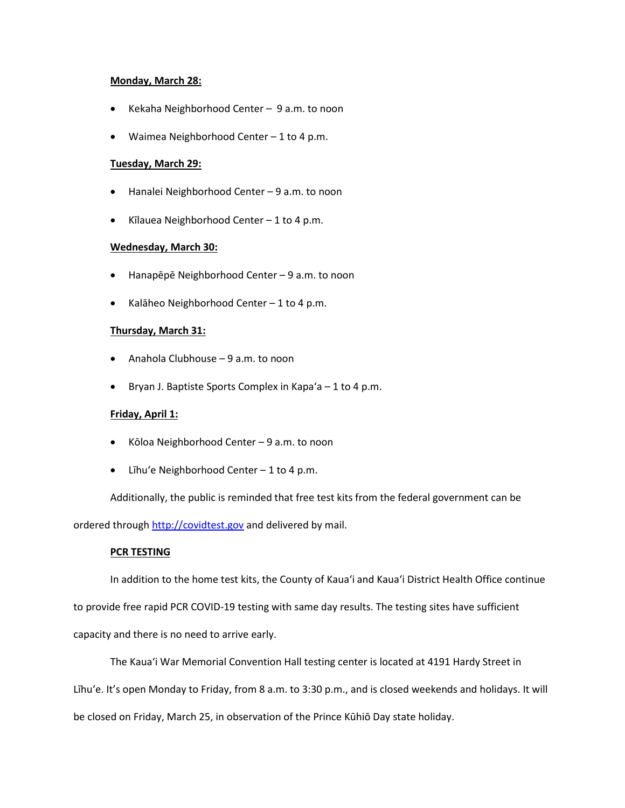#### **Monday, March 28:**

- Kekaha Neighborhood Center 9 a.m. to noon
- Waimea Neighborhood Center 1 to 4 p.m.

## **Tuesday, March 29:**

- Hanalei Neighborhood Center 9 a.m. to noon
- Kīlauea Neighborhood Center 1 to 4 p.m.

## **Wednesday, March 30:**

- Hanapēpē Neighborhood Center 9 a.m. to noon
- Kalāheo Neighborhood Center 1 to 4 p.m.

#### **Thursday, March 31:**

- Anahola Clubhouse 9 a.m. to noon
- Bryan J. Baptiste Sports Complex in Kapa'a  $-1$  to 4 p.m.

## **Friday, April 1:**

- Kōloa Neighborhood Center 9 a.m. to noon
- Līhu'e Neighborhood Center 1 to 4 p.m.

Additionally, the public is reminded that free test kits from the federal government can be

ordered through [http://covidtest.gov](http://covidtest.gov/) and delivered by mail.

## **PCR TESTING**

In addition to the home test kits, the County of Kaua'i and Kaua'i District Health Office continue to provide free rapid PCR COVID-19 testing with same day results. The testing sites have sufficient capacity and there is no need to arrive early.

The Kaua'i War Memorial Convention Hall testing center is located at 4191 Hardy Street in Līhuʻe. It's open Monday to Friday, from 8 a.m. to 3:30 p.m., and is closed weekends and holidays. It will be closed on Friday, March 25, in observation of the Prince Kūhiō Day state holiday.